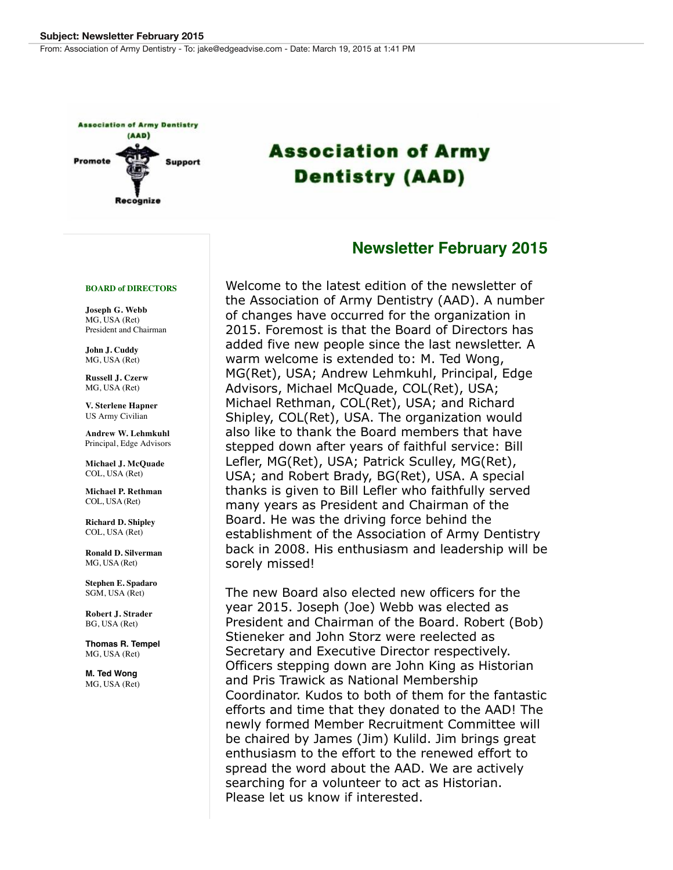From: Association of Army Dentistry - To: jake@edgeadvise.com - Date: March 19, 2015 at 1:41 PM



# **Association of Army Dentistry (AAD)**

### **Newsletter February 2015**

#### **BOARD of DIRECTORS**

**Joseph G. Webb** MG, USA (Ret) President and Chairman

**John J. Cuddy** MG, USA (Ret)

**Russell J. Czerw** MG, USA (Ret)

**V. Sterlene Hapner** US Army Civilian

**Andrew W. Lehmkuhl** Principal, Edge Advisors

 **Michael J. McQuade** COL, USA (Ret)

**Michael P. Rethman** COL, USA (Ret)

**Richard D. Shipley** COL, USA (Ret)

**Ronald D. Silverman** MG, USA (Ret)

**Stephen E. Spadaro** SGM, USA (Ret)

**Robert J. Strader** BG, USA (Ret)

**Thomas R. Tempel** MG, USA (Ret)

**M. Ted Wong** MG, USA (Ret) Welcome to the latest edition of the newsletter of the Association of Army Dentistry (AAD). A number of changes have occurred for the organization in 2015. Foremost is that the Board of Directors has added five new people since the last newsletter. A warm welcome is extended to: M. Ted Wong, MG(Ret), USA; Andrew Lehmkuhl, Principal, Edge Advisors, Michael McQuade, COL(Ret), USA; Michael Rethman, COL(Ret), USA; and Richard Shipley, COL(Ret), USA. The organization would also like to thank the Board members that have stepped down after years of faithful service: Bill Lefler, MG(Ret), USA; Patrick Sculley, MG(Ret), USA; and Robert Brady, BG(Ret), USA. A special thanks is given to Bill Lefler who faithfully served many years as President and Chairman of the Board. He was the driving force behind the establishment of the Association of Army Dentistry back in 2008. His enthusiasm and leadership will be sorely missed!

The new Board also elected new officers for the year 2015. Joseph (Joe) Webb was elected as President and Chairman of the Board. Robert (Bob) Stieneker and John Storz were reelected as Secretary and Executive Director respectively. Officers stepping down are John King as Historian and Pris Trawick as National Membership Coordinator. Kudos to both of them for the fantastic efforts and time that they donated to the AAD! The newly formed Member Recruitment Committee will be chaired by James (Jim) Kulild. Jim brings great enthusiasm to the effort to the renewed effort to spread the word about the AAD. We are actively searching for a volunteer to act as Historian. Please let us know if interested.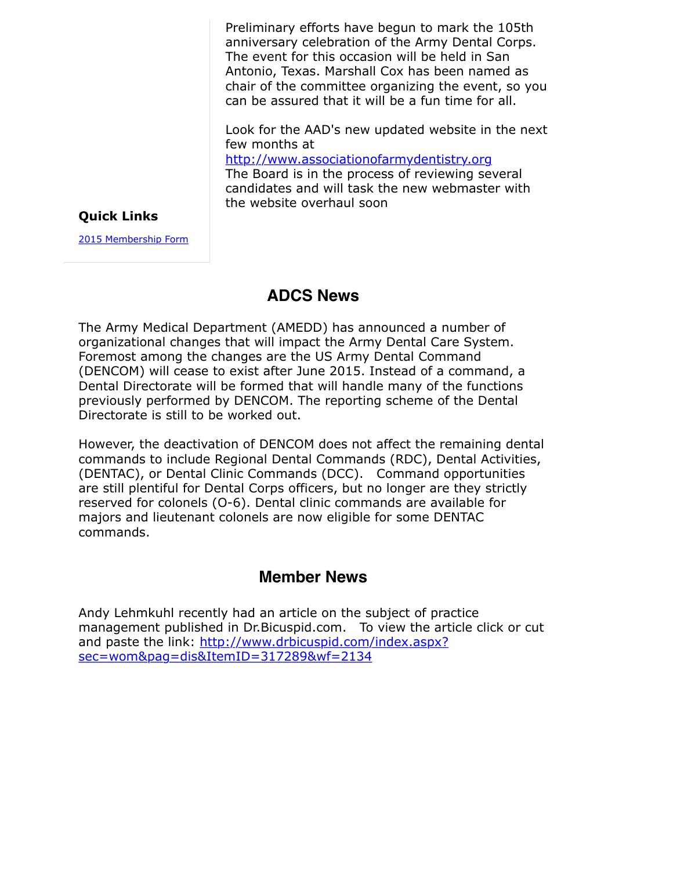Preliminary efforts have begun to mark the 105th anniversary celebration of the Army Dental Corps. The event for this occasion will be held in San Antonio, Texas. Marshall Cox has been named as chair of the committee organizing the event, so you can be assured that it will be a fun time for all.

Look for the AAD's new updated website in the next few months at

[http://www.associationofarmydentistry.org](http://r20.rs6.net/tn.jsp?f=001EaCJASpp_-jUMtACKvUpK-ZbSxxtLDWPHnh6HbOmDOZcpjr4rSs_cPJ07hVqUUYhGMcJFgv4eLqvc4_RKrcMggsRVXQa4Y7pdT0_xTHJqzL7JskG4T5axGK1NtMxWtiJ2LXNl5CjXDQQO_ZpCV2ypxi6OCqEpnp19t9zROt8OkmJbZq2BT14FF7Gxg4QG6UA&c=rMKtv31x5aFWEFy6k0ZonBLvPvCVpEnoEJ69xzww92NKpwqiQlrp9Q==&ch=usaQiBxJy3mB1Wpa6Xol8OAPrA_OBBwl0dD-pphaALm49-B3mZ9N2g==) The Board is in the process of reviewing several candidates and will task the new webmaster with the website overhaul soon

#### **Quick Links**

[2015 Membership Form](http://r20.rs6.net/tn.jsp?f=001EaCJASpp_-jUMtACKvUpK-ZbSxxtLDWPHnh6HbOmDOZcpjr4rSs_cENGHDvFHNak2uwirT9-UbYX7EeFj1LAWphwosgB9HsjMTlJJSCvHubCo7XsRkkBPHFI0IrVKNUwbedfzXrp6yDXHKn6VqCtthRQTltZ2VUM31XbCyAo0kPTUCIR5IpgSNZ7-u4KT2YXg2jy1T-JB3J8p0166j7_P7uae45J3bngyVbxlkFHVm6BS8d3XB12FQ==&c=rMKtv31x5aFWEFy6k0ZonBLvPvCVpEnoEJ69xzww92NKpwqiQlrp9Q==&ch=usaQiBxJy3mB1Wpa6Xol8OAPrA_OBBwl0dD-pphaALm49-B3mZ9N2g==)

# **ADCS News**

The Army Medical Department (AMEDD) has announced a number of organizational changes that will impact the Army Dental Care System. Foremost among the changes are the US Army Dental Command (DENCOM) will cease to exist after June 2015. Instead of a command, a Dental Directorate will be formed that will handle many of the functions previously performed by DENCOM. The reporting scheme of the Dental Directorate is still to be worked out.

However, the deactivation of DENCOM does not affect the remaining dental commands to include Regional Dental Commands (RDC), Dental Activities, (DENTAC), or Dental Clinic Commands (DCC). Command opportunities are still plentiful for Dental Corps officers, but no longer are they strictly reserved for colonels (O-6). Dental clinic commands are available for majors and lieutenant colonels are now eligible for some DENTAC commands.

## **Member News**

Andy Lehmkuhl recently had an article on the subject of practice management published in Dr.Bicuspid.com. To view the article click or cut [and paste the link: http://www.drbicuspid.com/index.aspx?](http://r20.rs6.net/tn.jsp?f=001EaCJASpp_-jUMtACKvUpK-ZbSxxtLDWPHnh6HbOmDOZcpjr4rSs_cICFTrNnNvdTQs45xtQ5qyzenN5AGLqxfWeH7vYptsLbLXbgQKf4ZY0vPUHUoI8BaV0GlcOZrAMlGciktOgFIylTqvNX9TEfrslbSeN8gfd2xEqbhUydya8le0MflM_UBkXBjEmLa5yEs_kW4gZvM7zEE1w3sldexOH6x1kGHA6fkSRjjlbHV_vNhbFgq24P8Fl40xVfZgvLud9VzfwlyH8=&c=rMKtv31x5aFWEFy6k0ZonBLvPvCVpEnoEJ69xzww92NKpwqiQlrp9Q==&ch=usaQiBxJy3mB1Wpa6Xol8OAPrA_OBBwl0dD-pphaALm49-B3mZ9N2g==) sec=wom&pag=dis&ItemID=317289&wf=2134